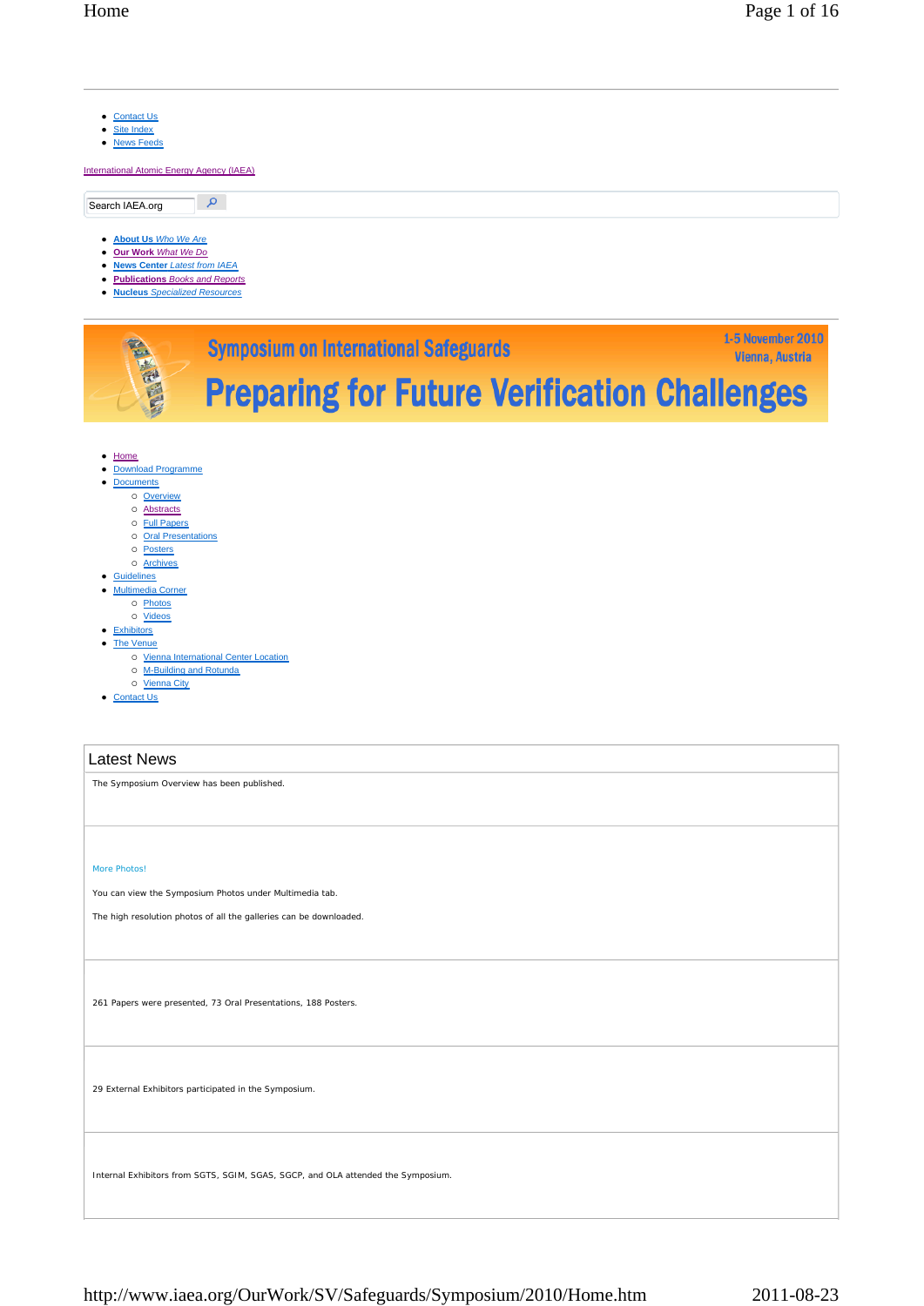| • Contact Us<br><b>Site Index</b><br>$\bullet$<br>• News Feeds<br><b>International Atomic Energy Agency (IAEA)</b>                                                                                                                                                                                                                                                    |
|-----------------------------------------------------------------------------------------------------------------------------------------------------------------------------------------------------------------------------------------------------------------------------------------------------------------------------------------------------------------------|
| م<br>Search IAEA.org                                                                                                                                                                                                                                                                                                                                                  |
| • About Us Who We Are<br><b>Our Work What We Do</b><br>$\bullet$<br>• News Center Latest from IAEA<br>• Publications Books and Reports<br>• Nucleus Specialized Resources<br><b>1-5 November 2010</b>                                                                                                                                                                 |
| <b>Symposium on International Safeguards</b><br>Vienna, Austria<br><b>Preparing for Future Verification Challenges</b>                                                                                                                                                                                                                                                |
| $\bullet$ Home<br><b>Download Programme</b><br><b>Documents</b><br>o Overview<br>o Abstracts<br>o Full Papers<br>o Oral Presentations<br>o Posters<br>o Archives<br>• Guidelines<br>• Multimedia Corner<br>o Photos<br>o Videos<br>• Exhibitors<br>• The Venue<br>o Vienna International Center Location<br>o M-Building and Rotunda<br>o Vienna City<br>• Contact Us |
| <b>Latest News</b>                                                                                                                                                                                                                                                                                                                                                    |
| The Symposium Overview has been published.                                                                                                                                                                                                                                                                                                                            |
| <b>More Photos!</b><br>You can view the Symposium Photos under Multimedia tab.<br>The high resolution photos of all the galleries can be downloaded.                                                                                                                                                                                                                  |
| 261 Papers were presented, 73 Oral Presentations, 188 Posters.                                                                                                                                                                                                                                                                                                        |
| 29 External Exhibitors participated in the Symposium.                                                                                                                                                                                                                                                                                                                 |
| Internal Exhibitors from SGTS, SGIM, SGAS, SGCP, and OLA attended the Symposium.                                                                                                                                                                                                                                                                                      |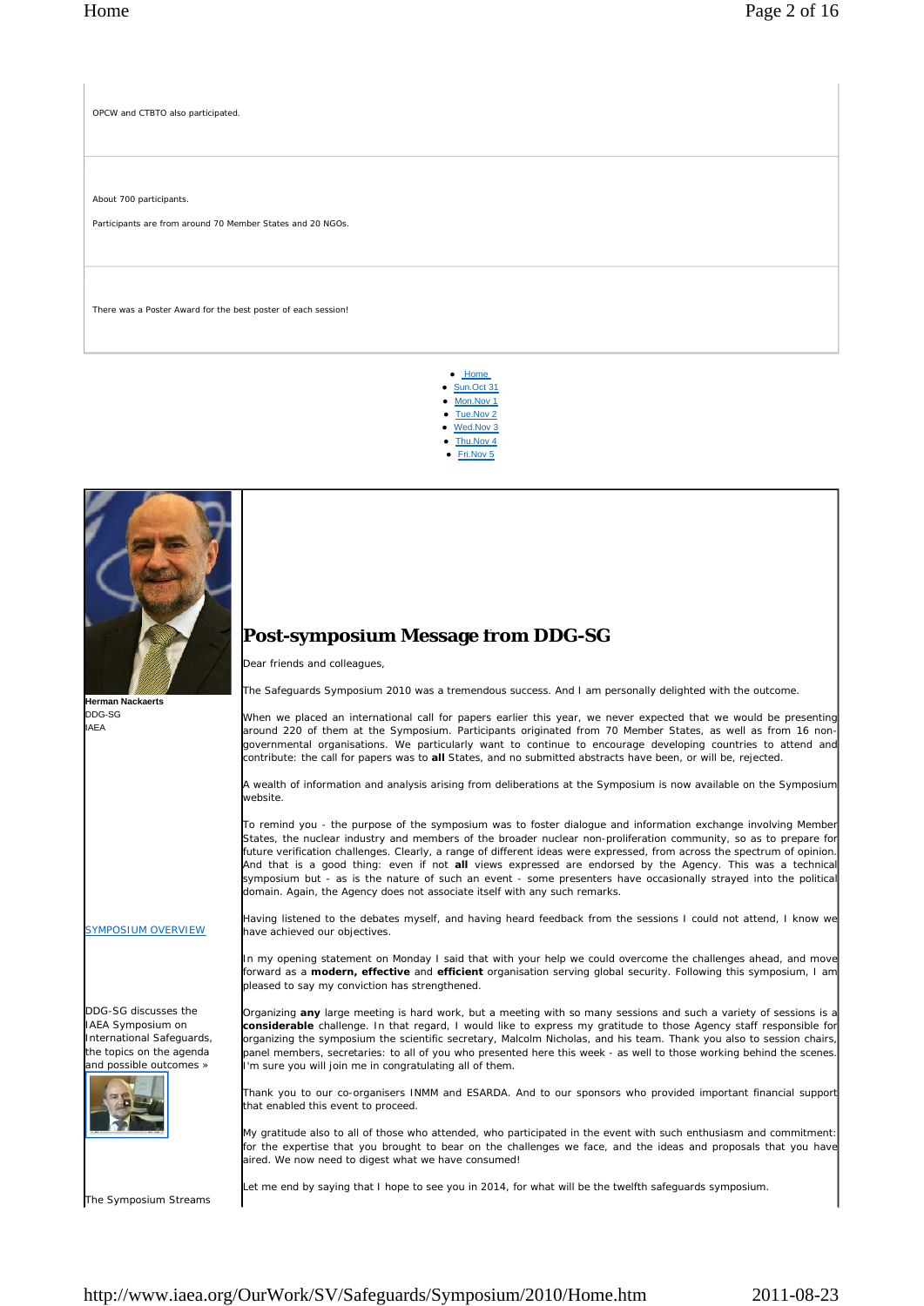OPCW and CTBTO also participated.

About 700 participants.

Participants are from around 70 Member States and 20 NGOs.

There was a Poster Award for the best poster of each session!

 Home Sun.Oct 31

- Mon.Nov 1
- Tue.Nov 2
- Wed Nov 3
- Thu.Nov 4
- Fri.Nov 5



The Symposium Streams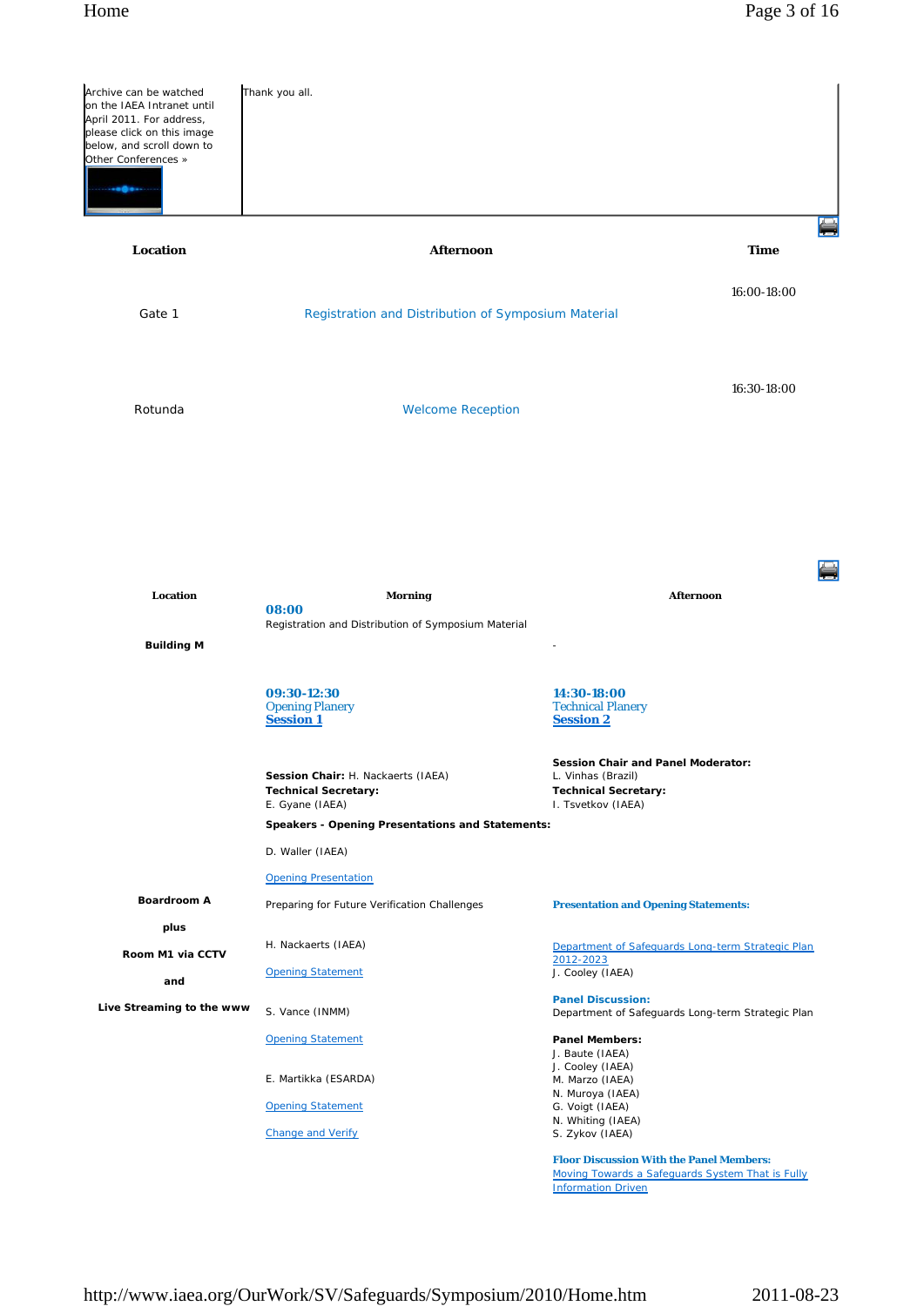| Archive can be watched<br>on the IAEA Intranet until<br>April 2011. For address,<br>please click on this image<br>below, and scroll down to<br>Other Conferences »<br>. <b>.</b> | Thank you all.                                                                       |                                                                                                                                  |  |
|----------------------------------------------------------------------------------------------------------------------------------------------------------------------------------|--------------------------------------------------------------------------------------|----------------------------------------------------------------------------------------------------------------------------------|--|
| Location                                                                                                                                                                         | Afternoon                                                                            | <b>Time</b>                                                                                                                      |  |
| Gate 1                                                                                                                                                                           | Registration and Distribution of Symposium Material                                  | 16:00-18:00                                                                                                                      |  |
| Rotunda                                                                                                                                                                          | <b>Welcome Reception</b>                                                             | 16:30-18:00                                                                                                                      |  |
|                                                                                                                                                                                  |                                                                                      |                                                                                                                                  |  |
|                                                                                                                                                                                  |                                                                                      |                                                                                                                                  |  |
| Location                                                                                                                                                                         | <b>Morning</b><br>08:00                                                              | <b>Afternoon</b>                                                                                                                 |  |
| <b>Building M</b>                                                                                                                                                                | Registration and Distribution of Symposium Material                                  |                                                                                                                                  |  |
|                                                                                                                                                                                  | 09:30-12:30<br><b>Opening Planery</b><br><b>Session 1</b>                            | 14:30-18:00<br><b>Technical Planery</b><br><b>Session 2</b>                                                                      |  |
|                                                                                                                                                                                  | Session Chair: H. Nackaerts (IAEA)<br><b>Technical Secretary:</b><br>E. Gyane (IAEA) | <b>Session Chair and Panel Moderator:</b><br>L. Vinhas (Brazil)<br><b>Technical Secretary:</b><br>I. Tsvetkov (IAEA)             |  |
|                                                                                                                                                                                  | Speakers - Opening Presentations and Statements:                                     |                                                                                                                                  |  |
|                                                                                                                                                                                  | D. Waller (IAEA)                                                                     |                                                                                                                                  |  |
|                                                                                                                                                                                  | <b>Opening Presentation</b>                                                          |                                                                                                                                  |  |
| <b>Boardroom A</b>                                                                                                                                                               | Preparing for Future Verification Challenges                                         | <b>Presentation and Opening Statements:</b>                                                                                      |  |
| plus                                                                                                                                                                             |                                                                                      |                                                                                                                                  |  |
| Room M1 via CCTV                                                                                                                                                                 | H. Nackaerts (IAEA)                                                                  | Department of Safeguards Long-term Strategic Plan<br>2012-2023                                                                   |  |
| and                                                                                                                                                                              | <b>Opening Statement</b>                                                             | J. Cooley (IAEA)                                                                                                                 |  |
| Live Streaming to the www                                                                                                                                                        | S. Vance (INMM)                                                                      | <b>Panel Discussion:</b><br>Department of Safeguards Long-term Strategic Plan                                                    |  |
|                                                                                                                                                                                  | <b>Opening Statement</b>                                                             | <b>Panel Members:</b>                                                                                                            |  |
|                                                                                                                                                                                  | E. Martikka (ESARDA)                                                                 | J. Baute (IAEA)<br>J. Cooley (IAEA)<br>M. Marzo (IAEA)                                                                           |  |
|                                                                                                                                                                                  | <b>Opening Statement</b>                                                             | N. Muroya (IAEA)<br>G. Voigt (IAEA)                                                                                              |  |
|                                                                                                                                                                                  | <b>Change and Verify</b>                                                             | N. Whiting (IAEA)<br>S. Zykov (IAEA)                                                                                             |  |
|                                                                                                                                                                                  |                                                                                      | <b>Floor Discussion With the Panel Members:</b><br>Moving Towards a Safeguards System That is Fully<br><b>Information Driven</b> |  |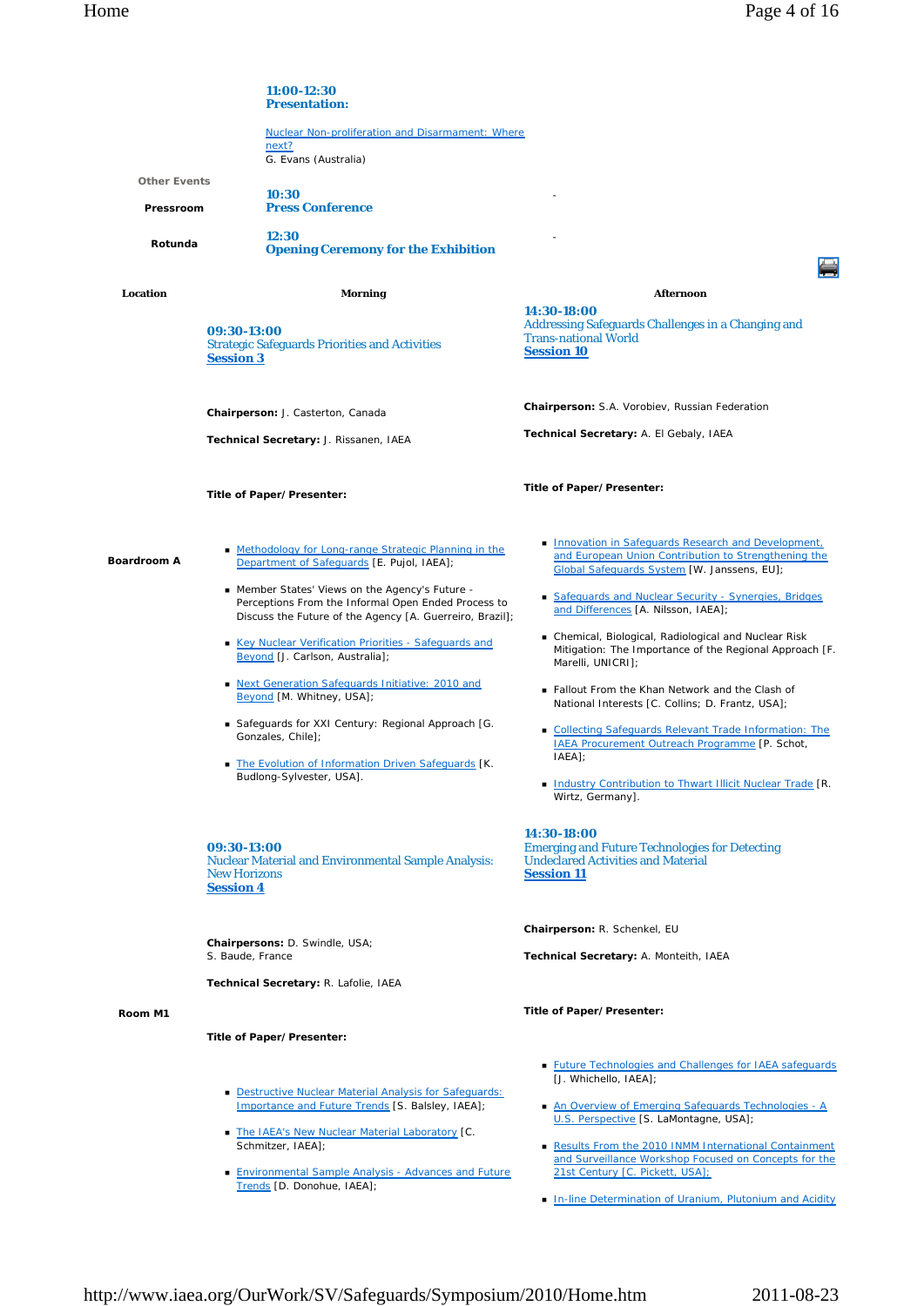|                                  | 11:00-12:30<br><b>Presentation:</b>                                                                                                                                |                                                                                                                                                           |  |
|----------------------------------|--------------------------------------------------------------------------------------------------------------------------------------------------------------------|-----------------------------------------------------------------------------------------------------------------------------------------------------------|--|
|                                  | Nuclear Non-proliferation and Disarmament: Where<br>next?                                                                                                          |                                                                                                                                                           |  |
|                                  | G. Evans (Australia)                                                                                                                                               |                                                                                                                                                           |  |
| <b>Other Events</b><br>Pressroom | 10:30<br><b>Press Conference</b>                                                                                                                                   |                                                                                                                                                           |  |
| Rotunda                          | 12:30<br><b>Opening Ceremony for the Exhibition</b>                                                                                                                |                                                                                                                                                           |  |
|                                  |                                                                                                                                                                    |                                                                                                                                                           |  |
| Location                         | Morning                                                                                                                                                            | <b>Afternoon</b>                                                                                                                                          |  |
|                                  | 09:30-13:00<br><b>Strategic Safeguards Priorities and Activities</b><br><b>Session 3</b>                                                                           | 14:30-18:00<br>Addressing Safeguards Challenges in a Changing and<br><b>Trans-national World</b><br><b>Session 10</b>                                     |  |
|                                  | Chairperson: J. Casterton, Canada                                                                                                                                  | Chairperson: S.A. Vorobiev, Russian Federation                                                                                                            |  |
|                                  | Technical Secretary: J. Rissanen, IAEA                                                                                                                             | Technical Secretary: A. El Gebaly, IAEA                                                                                                                   |  |
| <b>Boardroom A</b>               | Title of Paper/Presenter:                                                                                                                                          | Title of Paper/Presenter:                                                                                                                                 |  |
|                                  | • Methodology for Long-range Strategic Planning in the<br>Department of Safeguards [E. Pujol, IAEA];                                                               | Innovation in Safeguards Research and Development,<br>and European Union Contribution to Strengthening the<br>Global Safequards System [W. Janssens, EU]; |  |
|                                  | ■ Member States' Views on the Agency's Future -<br>Perceptions From the Informal Open Ended Process to<br>Discuss the Future of the Agency [A. Guerreiro, Brazil]; | <b>Safequards and Nuclear Security - Synergies, Bridges</b><br>and Differences [A. Nilsson, IAEA];                                                        |  |
|                                  | Key Nuclear Verification Priorities - Safeguards and<br>Beyond [J. Carlson, Australia];                                                                            | ■ Chemical, Biological, Radiological and Nuclear Risk<br>Mitigation: The Importance of the Regional Approach [F.<br>Marelli, UNICRI];                     |  |
|                                  | Next Generation Safeguards Initiative: 2010 and<br>Beyond [M. Whitney, USA];                                                                                       | ■ Fallout From the Khan Network and the Clash of<br>National Interests [C. Collins; D. Frantz, USA];                                                      |  |
|                                  | Safeguards for XXI Century: Regional Approach [G.<br>Gonzales, Chile];                                                                                             | Collecting Safeguards Relevant Trade Information: The<br>IAEA Procurement Outreach Programme [P. Schot,<br>$IAEA$ ];                                      |  |
|                                  | • The Evolution of Information Driven Safeguards [K.<br>Budlong-Sylvester, USA].                                                                                   | Industry Contribution to Thwart Illicit Nuclear Trade [R.<br>Wirtz, Germany].                                                                             |  |
|                                  | 09:30-13:00<br><b>Nuclear Material and Environmental Sample Analysis:</b><br><b>New Horizons</b><br><b>Session 4</b>                                               | 14:30-18:00<br><b>Emerging and Future Technologies for Detecting</b><br><b>Undeclared Activities and Material</b><br><b>Session 11</b>                    |  |
|                                  | Chairpersons: D. Swindle, USA;<br>S. Baude, France                                                                                                                 | Chairperson: R. Schenkel, EU<br>Technical Secretary: A. Monteith, IAEA                                                                                    |  |
|                                  | Technical Secretary: R. Lafolie, IAEA                                                                                                                              |                                                                                                                                                           |  |
| Room M1                          |                                                                                                                                                                    | Title of Paper/Presenter:                                                                                                                                 |  |
|                                  | Title of Paper/Presenter:                                                                                                                                          |                                                                                                                                                           |  |
|                                  |                                                                                                                                                                    |                                                                                                                                                           |  |
|                                  | Destructive Nuclear Material Analysis for Safeguards:<br>Importance and Future Trends [S. Balsley, IAEA];                                                          | Euture Technologies and Challenges for IAEA safeguards<br>[J. Whichello, IAEA];<br>An Overview of Emerging Safeguards Technologies - A                    |  |
|                                  | The IAEA's New Nuclear Material Laboratory [C.<br>Schmitzer, IAEA];                                                                                                | U.S. Perspective [S. LaMontagne, USA];<br>Results From the 2010 INMM International Containment                                                            |  |
|                                  | <b>Environmental Sample Analysis - Advances and Future</b><br>Trends [D. Donohue, IAEA];                                                                           | and Surveillance Workshop Focused on Concepts for the<br>21st Century [C. Pickett, USA];                                                                  |  |

**In-line Determination of Uranium, Plutonium and Acidity**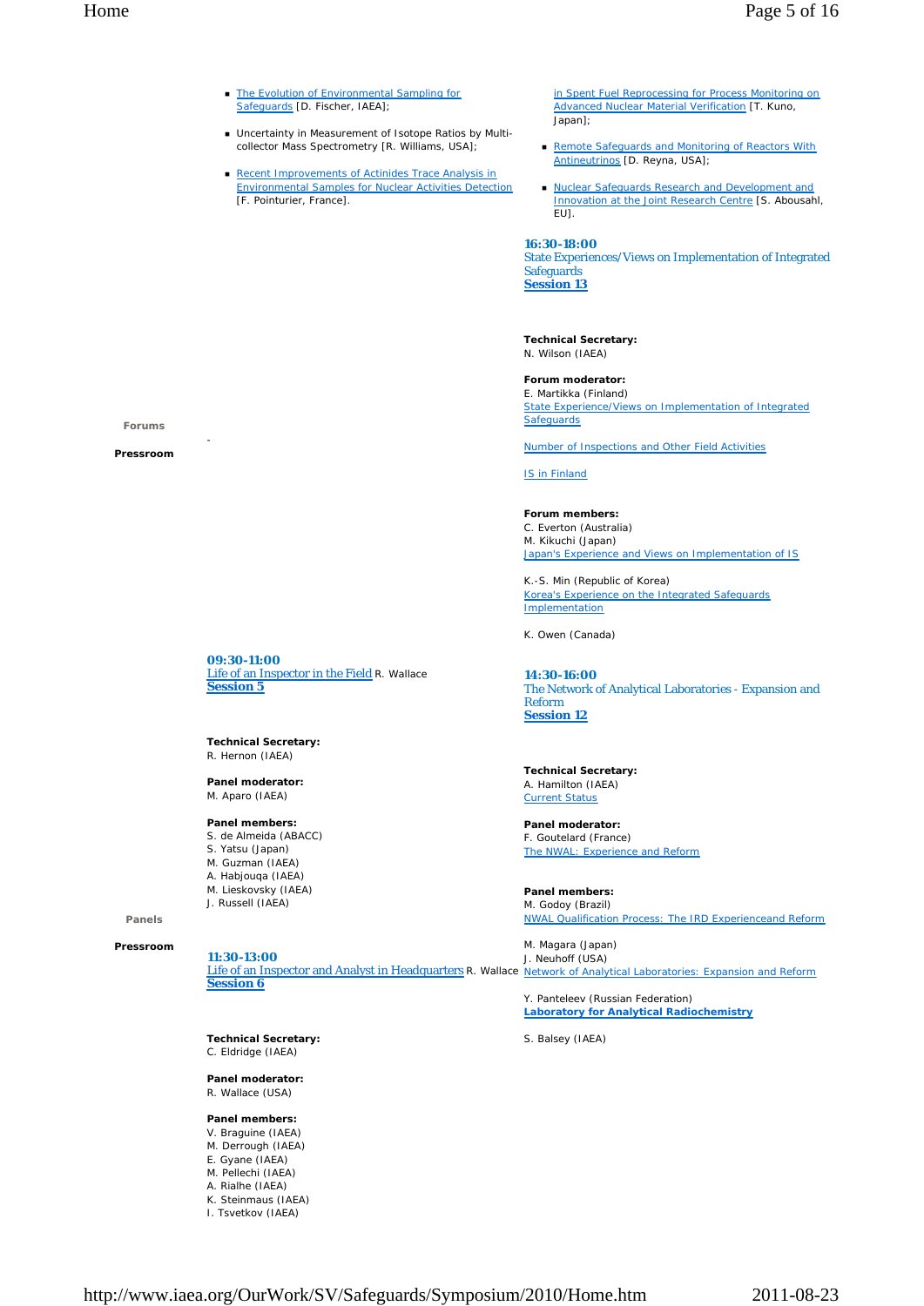- The Evolution of Environmental Sampling for Safeguards [D. Fischer, IAEA];
- Uncertainty in Measurement of Isotope Ratios by Multicollector Mass Spectrometry [R. Williams, USA];
- Recent Improvements of Actinides Trace Analysis in Environmental Samples for Nuclear Activities Detection [F. Pointurier, France].

in Spent Fuel Reprocessing for Process Monitoring on Advanced Nuclear Material Verification [T. Kuno, Japan];

- Remote Safeguards and Monitoring of Reactors With Antineutrinos [D. Reyna, USA];
- **Nuclear Safeguards Research and Development and** Innovation at the Joint Research Centre [S. Abousahl, EU].

## **16:30-18:00**

State Experiences/Views on Implementation of Integrated **Safeguards Session 13**

**Technical Secretary:** N. Wilson (IAEA)

# **Forum moderator:**

E. Martikka (Finland) State Experience/Views on Implementation of Integrated **Safeguards** 

Number of Inspections and Other Field Activities

IS in Finland

**Forum members:** C. Everton (Australia) M. Kikuchi (Japan) Japan's Experience and Views on Implementation of IS

K.-S. Min (Republic of Korea) Korea's Experience on the Integrated Safeguards Implementation

K. Owen (Canada)

**14:30-16:00** The Network of Analytical Laboratories - Expansion and Reform **Session 12**

**Technical Secretary:** A. Hamilton (IAEA) Current Status

**Panel moderator:** F. Goutelard (France) The NWAL: Experience and Reform

**Panel members:** M. Godoy (Brazil) NWAL Qualification Process: The IRD Experienceand Reform

Life of an Inspector and Analyst in Headquarters R. Wallace Network of Analytical Laboratories: Expansion and Reform M. Magara (Japan) J. Neuhoff (USA)

> Y. Panteleev (Russian Federation) **Laboratory for Analytical Radiochemistry**

S. Balsey (IAEA)

**Forums** 

**Pressroom** 

-

**09:30-11:00** Life of an Inspector in the Field R. Wallace **Session 5**

**Technical Secretary:** R. Hernon (IAEA)

**Panel moderator:** M. Aparo (IAEA)

### **Panel members:**

- S. de Almeida (ABACC)
- S. Yatsu (Japan)
- M. Guzman (IAEA)
- A. Habjouqa (IAEA)
- M. Lieskovsky (IAEA) J. Russell (IAEA)
- **Panels**

**Pressroom** 

**11:30-13:00**

**Session 6**

**Technical Secretary:** C. Eldridge (IAEA)

**Panel moderator:**

R. Wallace (USA)

**Panel members:**  V. Braguine (IAEA)

- M. Derrough (IAEA)
- E. Gyane (IAEA)
- M. Pellechi (IAEA)
- A. Rialhe (IAEA)
- K. Steinmaus (IAEA)
- I. Tsvetkov (IAEA)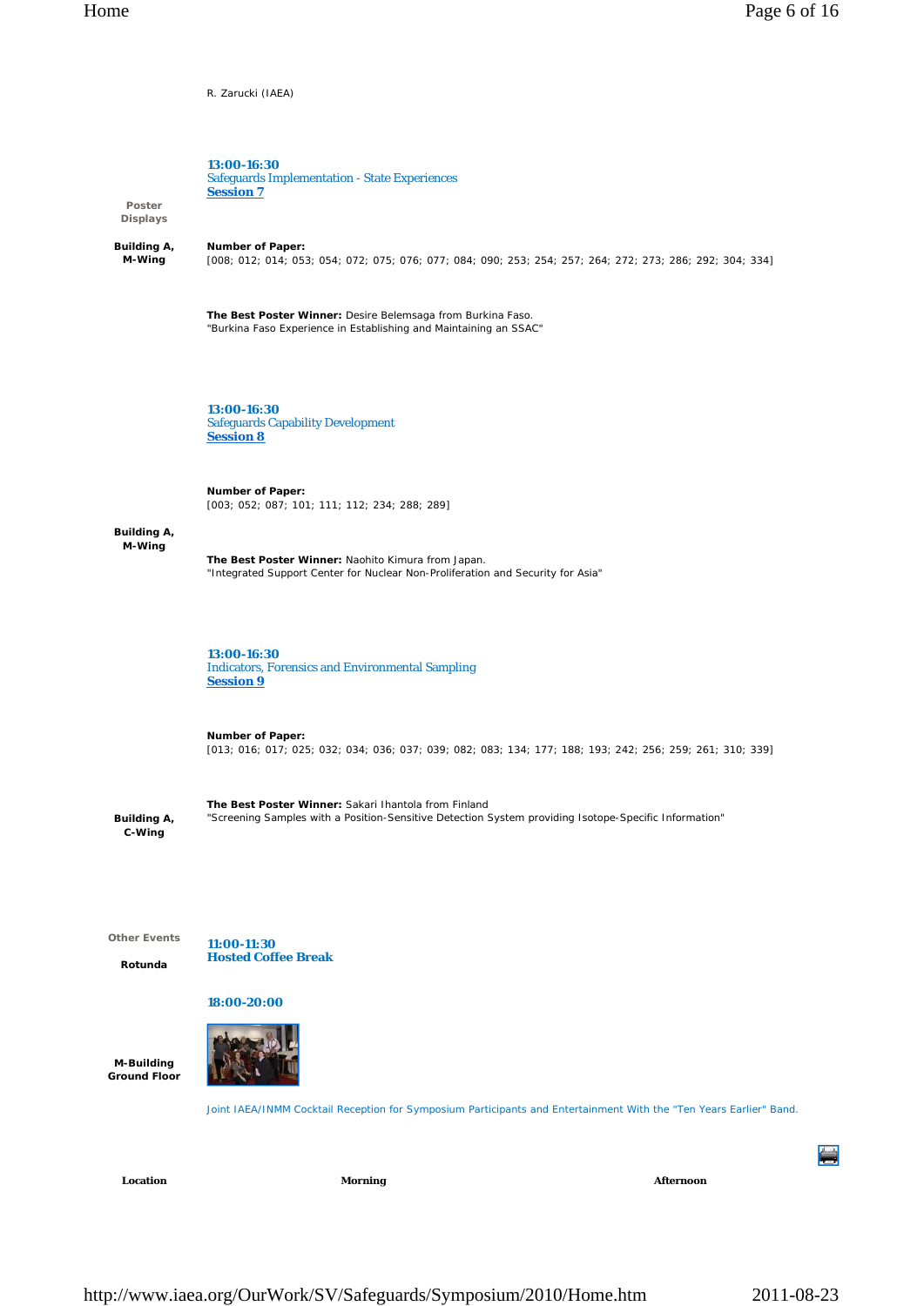R. Zarucki (IAEA)



Location **Morning Morning Afternoon**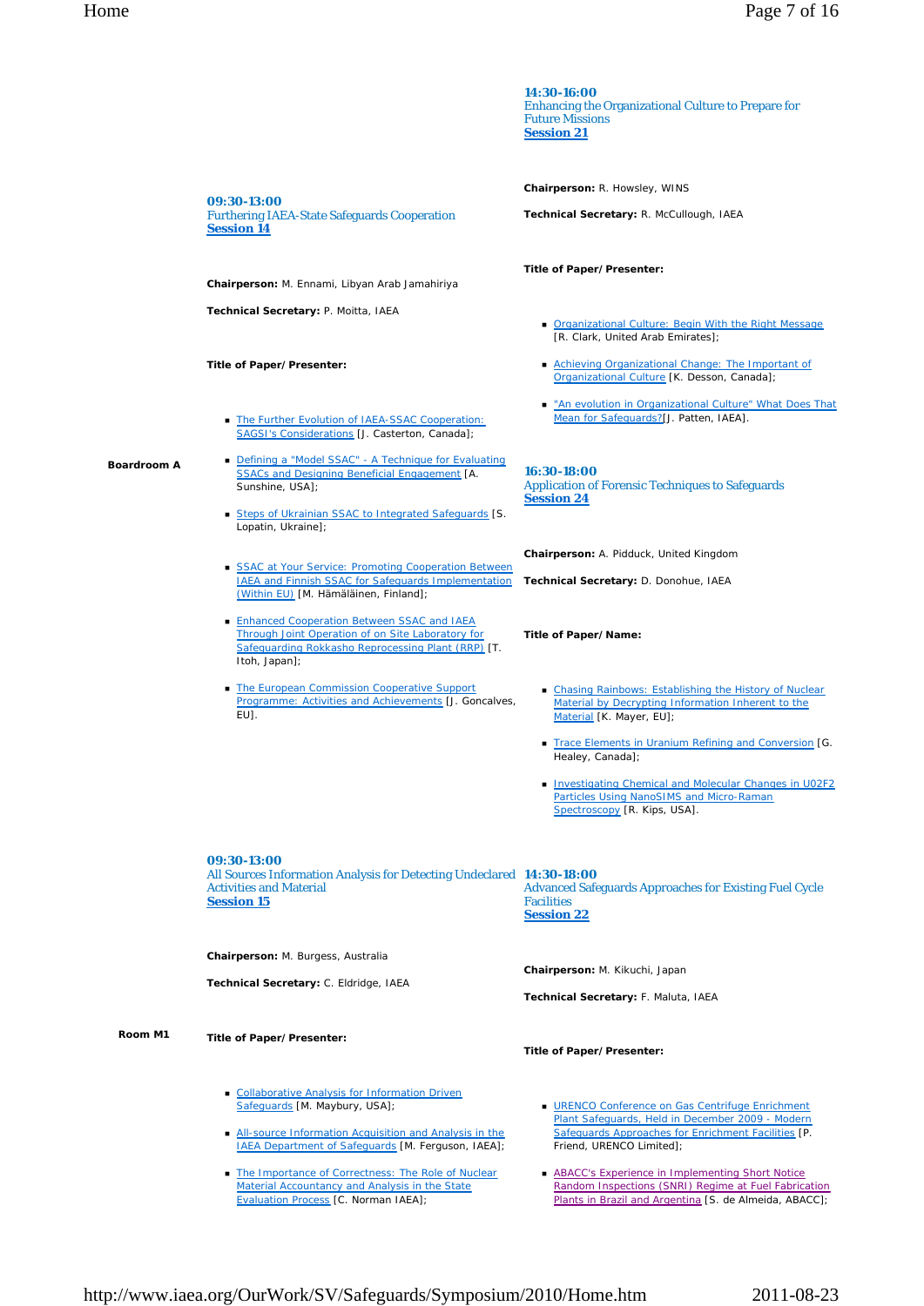|                    |                                                                                                                                                                                                               | 14:30-16:00<br><b>Enhancing the Organizational Culture to Prepare for</b><br><b>Future Missions</b><br><b>Session 21</b>                                                 |
|--------------------|---------------------------------------------------------------------------------------------------------------------------------------------------------------------------------------------------------------|--------------------------------------------------------------------------------------------------------------------------------------------------------------------------|
|                    |                                                                                                                                                                                                               | Chairperson: R. Howsley, WINS                                                                                                                                            |
|                    | 09:30-13:00<br><b>Furthering IAEA-State Safeguards Cooperation</b><br><u>Session 14</u>                                                                                                                       | Technical Secretary: R. McCullough, IAEA                                                                                                                                 |
|                    | Chairperson: M. Ennami, Libyan Arab Jamahiriya                                                                                                                                                                | Title of Paper/Presenter:                                                                                                                                                |
|                    | Technical Secretary: P. Moitta, IAEA                                                                                                                                                                          | Organizational Culture: Begin With the Right Message<br>[R. Clark, United Arab Emirates];                                                                                |
|                    | Title of Paper/Presenter:                                                                                                                                                                                     | Achieving Organizational Change: The Important of<br>Organizational Culture [K. Desson, Canada];                                                                         |
|                    | The Further Evolution of IAEA-SSAC Cooperation:<br>SAGSI's Considerations [J. Casterton, Canada];                                                                                                             | "An evolution in Organizational Culture" What Does That<br>Mean for Safequards?[J. Patten, IAEA].                                                                        |
| <b>Boardroom A</b> | Defining a "Model SSAC" - A Technique for Evaluating<br><b>SSACs and Designing Beneficial Engagement [A.</b><br>Sunshine, USA];<br>Steps of Ukrainian SSAC to Integrated Safeguards [S.<br>Lopatin, Ukraine]; | 16:30-18:00<br><b>Application of Forensic Techniques to Safeguards</b><br><b>Session 24</b>                                                                              |
|                    |                                                                                                                                                                                                               | Chairperson: A. Pidduck, United Kingdom                                                                                                                                  |
|                    | SSAC at Your Service: Promoting Cooperation Between<br><b>IAEA and Finnish SSAC for Safeguards Implementation</b><br>(Within EU) [M. Hämäläinen, Finland];                                                    | Technical Secretary: D. Donohue, IAEA                                                                                                                                    |
|                    | Enhanced Cooperation Between SSAC and IAEA<br>Through Joint Operation of on Site Laboratory for<br>Safeguarding Rokkasho Reprocessing Plant (RRP) [T.<br>Itoh, Japan];                                        | Title of Paper/Name:                                                                                                                                                     |
|                    | • The European Commission Cooperative Support<br>Programme: Activities and Achievements [J. Goncalves,<br>EU].                                                                                                | Chasing Rainbows: Establishing the History of Nuclear<br>Material by Decrypting Information Inherent to the<br>Material [K. Mayer, EU];                                  |
|                    |                                                                                                                                                                                                               | Trace Elements in Uranium Refining and Conversion [G.<br>Healey, Canada];                                                                                                |
|                    |                                                                                                                                                                                                               | Investigating Chemical and Molecular Changes in U02F2<br>Particles Using NanoSIMS and Micro-Raman<br>Spectroscopy [R. Kips, USA].                                        |
|                    | 09:30-13:00<br>All Sources Information Analysis for Detecting Undeclared 14:30-18:00<br><b>Activities and Material</b><br><b>Session 15</b>                                                                   | <b>Advanced Safeguards Approaches for Existing Fuel Cycle</b><br><b>Facilities</b><br><b>Session 22</b>                                                                  |
|                    | Chairperson: M. Burgess, Australia                                                                                                                                                                            |                                                                                                                                                                          |
|                    | Technical Secretary: C. Eldridge, IAEA                                                                                                                                                                        | Chairperson: M. Kikuchi, Japan<br>Technical Secretary: F. Maluta, IAEA                                                                                                   |
| Room M1            | Title of Paper/Presenter:                                                                                                                                                                                     | Title of Paper/Presenter:                                                                                                                                                |
|                    | • Collaborative Analysis for Information Driven<br>Safeguards [M. Maybury, USA];                                                                                                                              | ■ URENCO Conference on Gas Centrifuge Enrichment<br>Plant Safeguards, Held in December 2009 - Modern                                                                     |
|                    | All-source Information Acquisition and Analysis in the<br><b>IAEA Department of Safequards [M. Ferguson, IAEA];</b>                                                                                           | Safeguards Approaches for Enrichment Facilities [P.<br>Friend, URENCO Limited];                                                                                          |
|                    | • The Importance of Correctness: The Role of Nuclear<br>Material Accountancy and Analysis in the State<br><b>Evaluation Process [C. Norman IAEA];</b>                                                         | <b>ABACC's Experience in Implementing Short Notice</b><br>Random Inspections (SNRI) Regime at Fuel Fabrication<br>Plants in Brazil and Argentina [S. de Almeida, ABACC]; |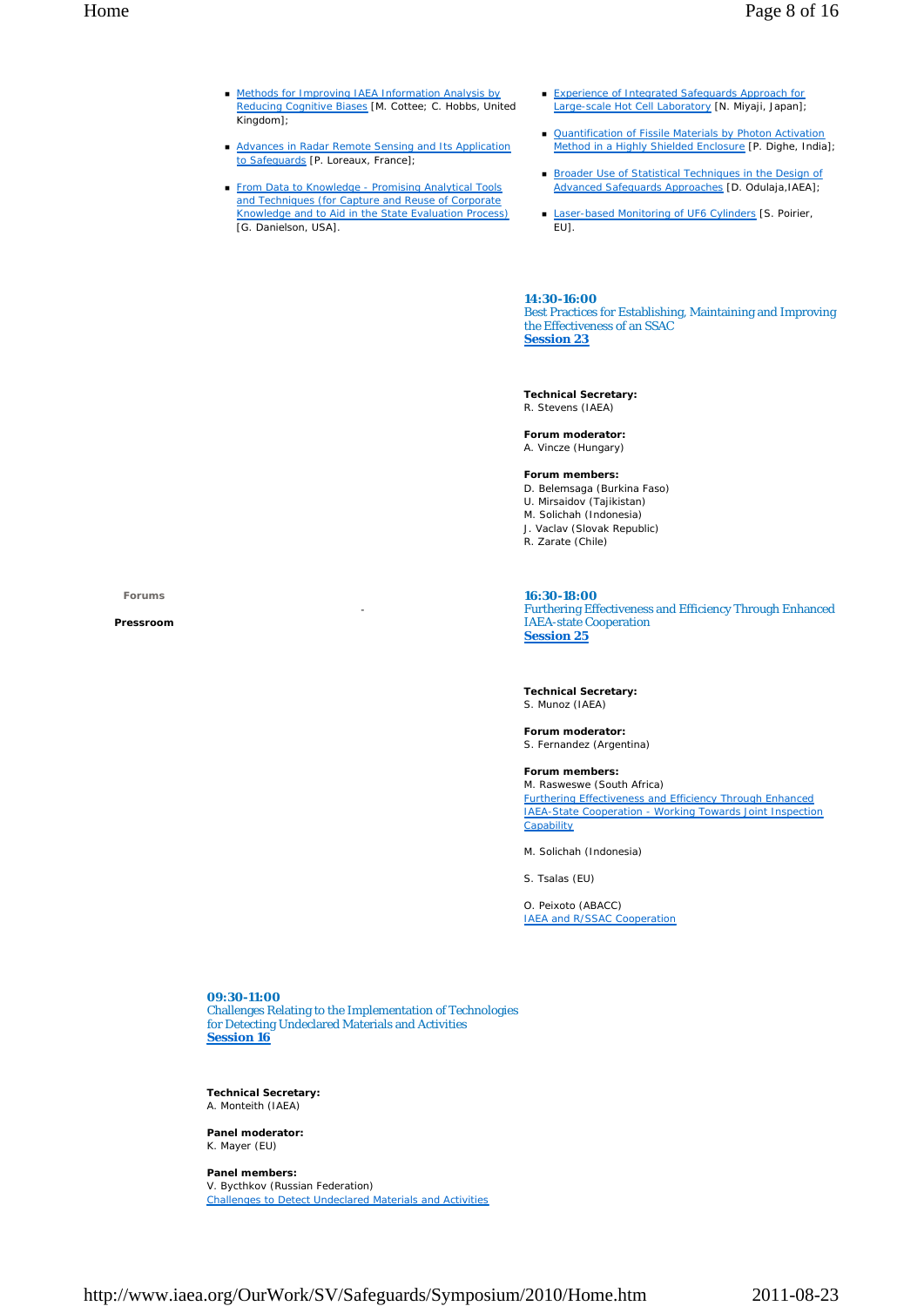- **Methods for Improving IAEA Information Analysis by** Reducing Cognitive Biases [M. Cottee; C. Hobbs, United Kingdom<sup>1</sup>;
- **Advances in Radar Remote Sensing and Its Application** to Safeguards [P. Loreaux, France];
- **From Data to Knowledge Promising Analytical Tools** and Techniques (for Capture and Reuse of Corporate Knowledge and to Aid in the State Evaluation Process) [G. Danielson, USA].
- **Experience of Integrated Safeguards Approach for** Large-scale Hot Cell Laboratory [N. Miyaji, Japan];
- **Quantification of Fissile Materials by Photon Activation** Method in a Highly Shielded Enclosure [P. Dighe, India];
- **Broader Use of Statistical Techniques in the Design of** Advanced Safeguards Approaches [D. Odulaja,IAEA];
- Laser-based Monitoring of UF6 Cylinders [S. Poirier,  $EUI.$

**14:30-16:00** Best Practices for Establishing, Maintaining and Improving the Effectiveness of an SSAC **Session 23**

**Technical Secretary:** R. Stevens (IAEA)

**Forum moderator:** A. Vincze (Hungary)

### **Forum members:**

- D. Belemsaga (Burkina Faso)
- U. Mirsaidov (Tajikistan) M. Solichah (Indonesia)
- J. Vaclav (Slovak Republic)
- R. Zarate (Chile)

**Forums** 

**Pressroom**

#### **16:30-18:00**

Furthering Effectiveness and Efficiency Through Enhanced IAEA-state Cooperation **Session 25**

**Technical Secretary:** S. Munoz (IAEA)

**Forum moderator:** S. Fernandez (Argentina)

### **Forum members:**

M. Rasweswe (South Africa) Furthering Effectiveness and Efficiency Through Enhanced IAEA-State Cooperation - Working Towards Joint Inspection **Capability** 

M. Solichah (Indonesia)

S. Tsalas (EU)

O. Peixoto (ABACC) IAEA and R/SSAC Cooperation

**09:30-11:00** Challenges Relating to the Implementation of Technologies for Detecting Undeclared Materials and Activities **Session 16**

-

**Technical Secretary:** A. Monteith (IAEA)

**Panel moderator:** K. Mayer (EU)

**Panel members:** V. Bycthkov (Russian Federation) Challenges to Detect Undeclared Materials and Activities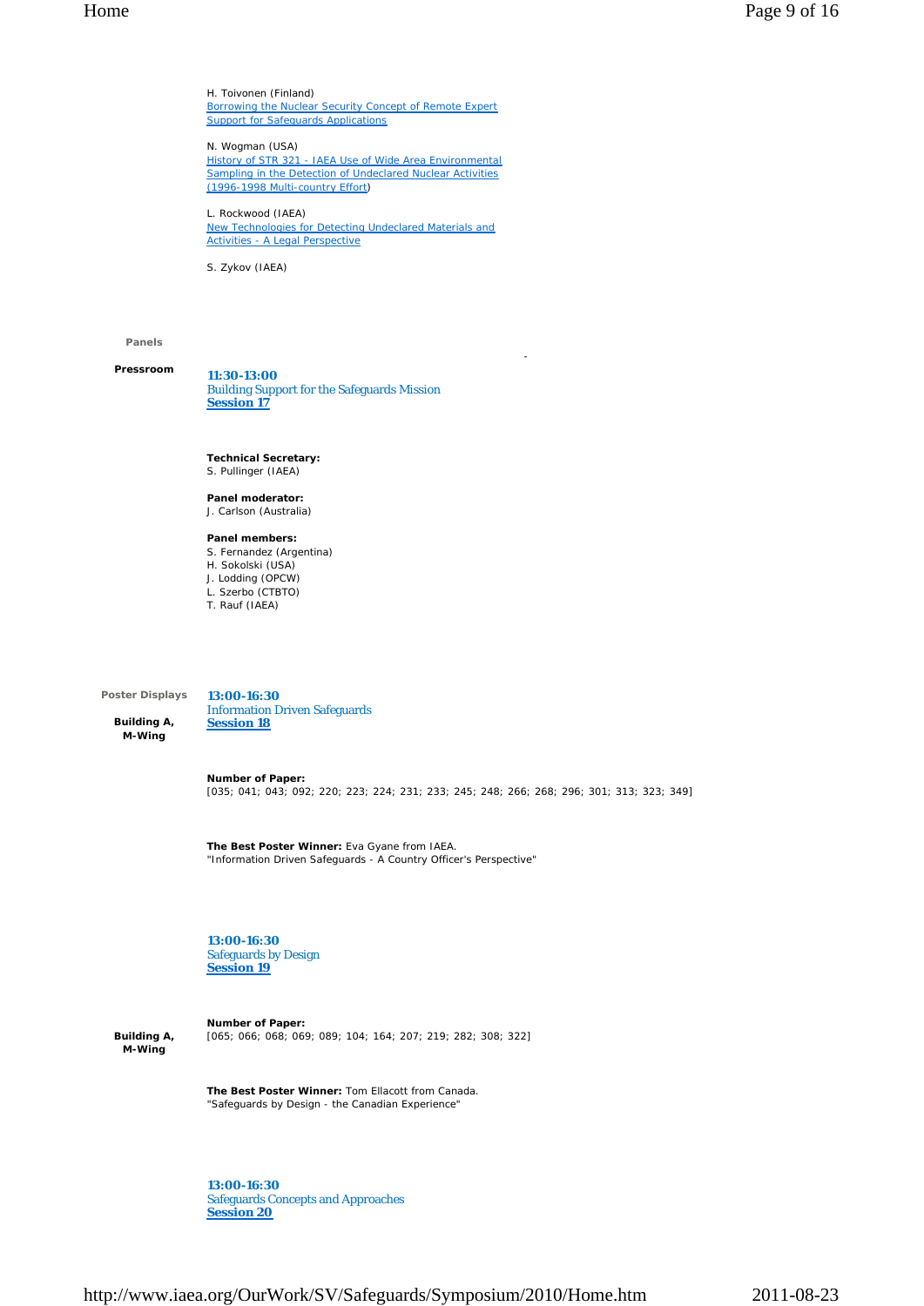H. Toivonen (Finland) Borrowing the Nuclear Security Concept of Remote Expert **Support for Safeguards Applications** 

N. Wogman (USA) History of STR 321 - IAEA Use of Wide Area Environmental Sampling in the Detection of Undeclared Nuclear Activities (1996-1998 Multi-country Effort)

L. Rockwood (IAEA) New Technologies for Detecting Undeclared Materials and Activities - A Legal Perspective

S. Zykov (IAEA)

### **Panels**

**Pressroom**

**11:30-13:00** Building Support for the Safeguards Mission **Session 17**

**Technical Secretary:** S. Pullinger (IAEA)

**Panel moderator:** J. Carlson (Australia)

**Panel members:**

- S. Fernandez (Argentina)
- H. Sokolski (USA)
- J. Lodding (OPCW) L. Szerbo (CTBTO)
- T. Rauf (IAEA)

**Poster Displays** 

**Building A, M-Wing** 

**13:00-16:30** Information Driven Safeguards **Session 18**

**Number of Paper:** [035; 041; 043; 092; 220; 223; 224; 231; 233; 245; 248; 266; 268; 296; 301; 313; 323; 349]

-

**The Best Poster Winner:** Eva Gyane from IAEA. "Information Driven Safeguards - A Country Officer's Perspective"

**13:00-16:30** Safeguards by Design **Session 19**

**Building A, M-Wing** 

**Number of Paper:** [065; 066; 068; 069; 089; 104; 164; 207; 219; 282; 308; 322]

**The Best Poster Winner:** Tom Ellacott from Canada. "Safeguards by Design - the Canadian Experience"

**13:00-16:30** Safeguards Concepts and Approaches **Session 20**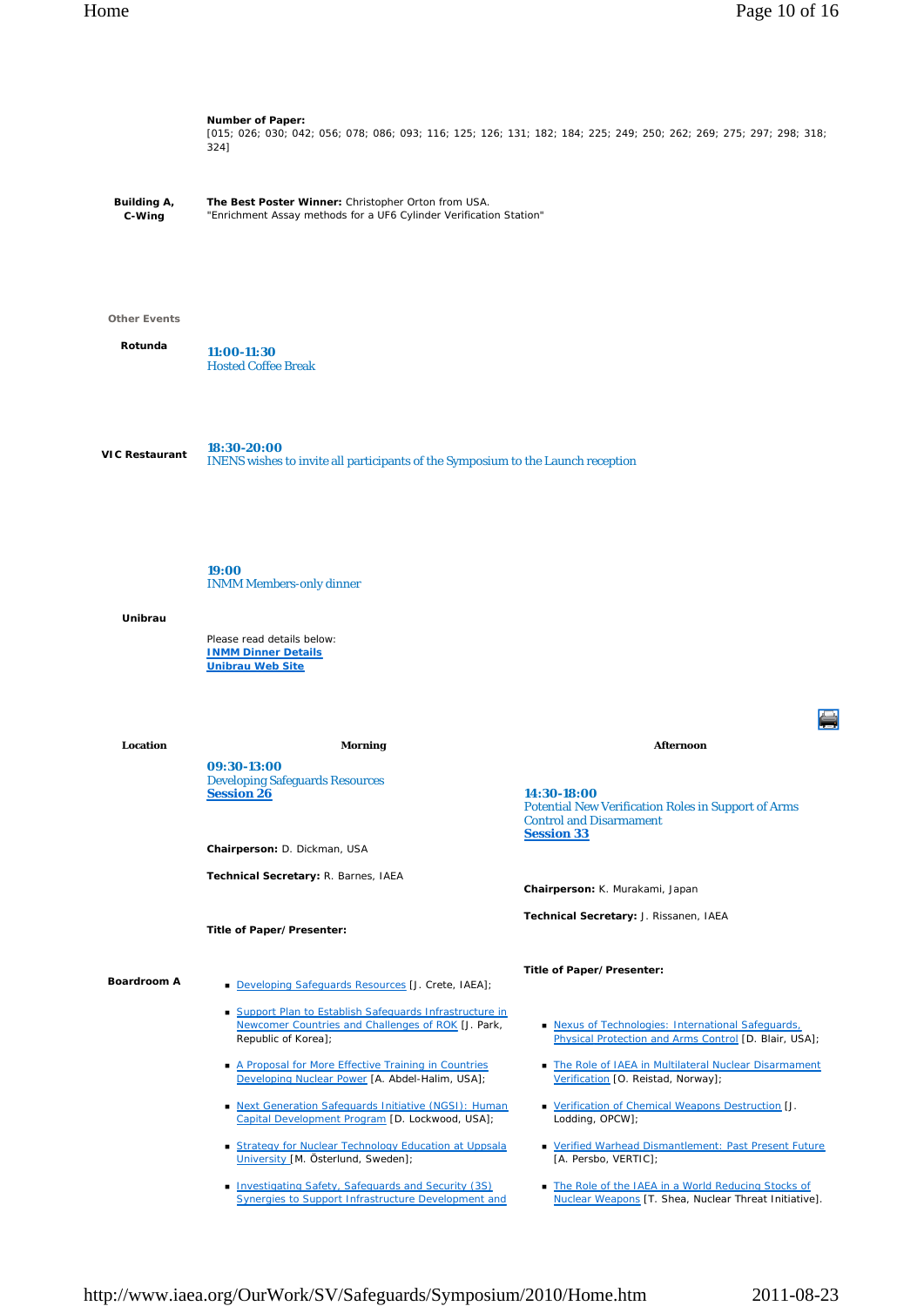**Building A, C-Wing Number of Paper:** [015; 026; 030; 042; 056; 078; 086; 093; 116; 125; 126; 131; 182; 184; 225; 249; 250; 262; 269; 275; 297; 298; 318;  $324]$ **The Best Poster Winner:** Christopher Orton from USA. "Enrichment Assay methods for a UF6 Cylinder Verification Station" **Other Events Rotunda VIC Restaurant Unibrau 11:00-11:30** Hosted Coffee Break **18:30-20:00** INENS wishes to invite all participants of the Symposium to the Launch reception **19:00** INMM Members-only dinner Please read details below: **INMM Dinner Details Unibrau Web Site Location Morning Afternoon Boardroom A 09:30-13:00** Developing Safeguards Resources **Session 26 Chairperson:** D. Dickman, USA **Technical Secretary:** R. Barnes, IAEA **Title of Paper/Presenter:** Developing Safeguards Resources [J. Crete, IAEA]; Support Plan to Establish Safeguards Infrastructure in Newcomer Countries and Challenges of ROK [J. Park, Republic of Korea]; A Proposal for More Effective Training in Countries Developing Nuclear Power [A. Abdel-Halim, USA]; Next Generation Safeguards Initiative (NGSI): Human Capital Development Program [D. Lockwood, USA]; Strategy for Nuclear Technology Education at Uppsala **14:30-18:00** Potential New Verification Roles in Support of Arms Control and Disarmament **Session 33 Chairperson:** K. Murakami, Japan **Technical Secretary:** J. Rissanen, IAEA **Title of Paper/Presenter: Nexus of Technologies: International Safeguards** Physical Protection and Arms Control [D. Blair, USA]; The Role of IAEA in Multilateral Nuclear Disarmament Verification [O. Reistad, Norway]; **• Verification of Chemical Weapons Destruction [J.** Lodding, OPCW]; Verified Warhead Dismantlement: Past Present Future

- [A. Persbo, VERTIC];
	- The Role of the IAEA in a World Reducing Stocks of Nuclear Weapons [T. Shea, Nuclear Threat Initiative].

**Investigating Safety, Safeguards and Security (3S)** Synergies to Support Infrastructure Development and

University [M. Österlund, Sweden];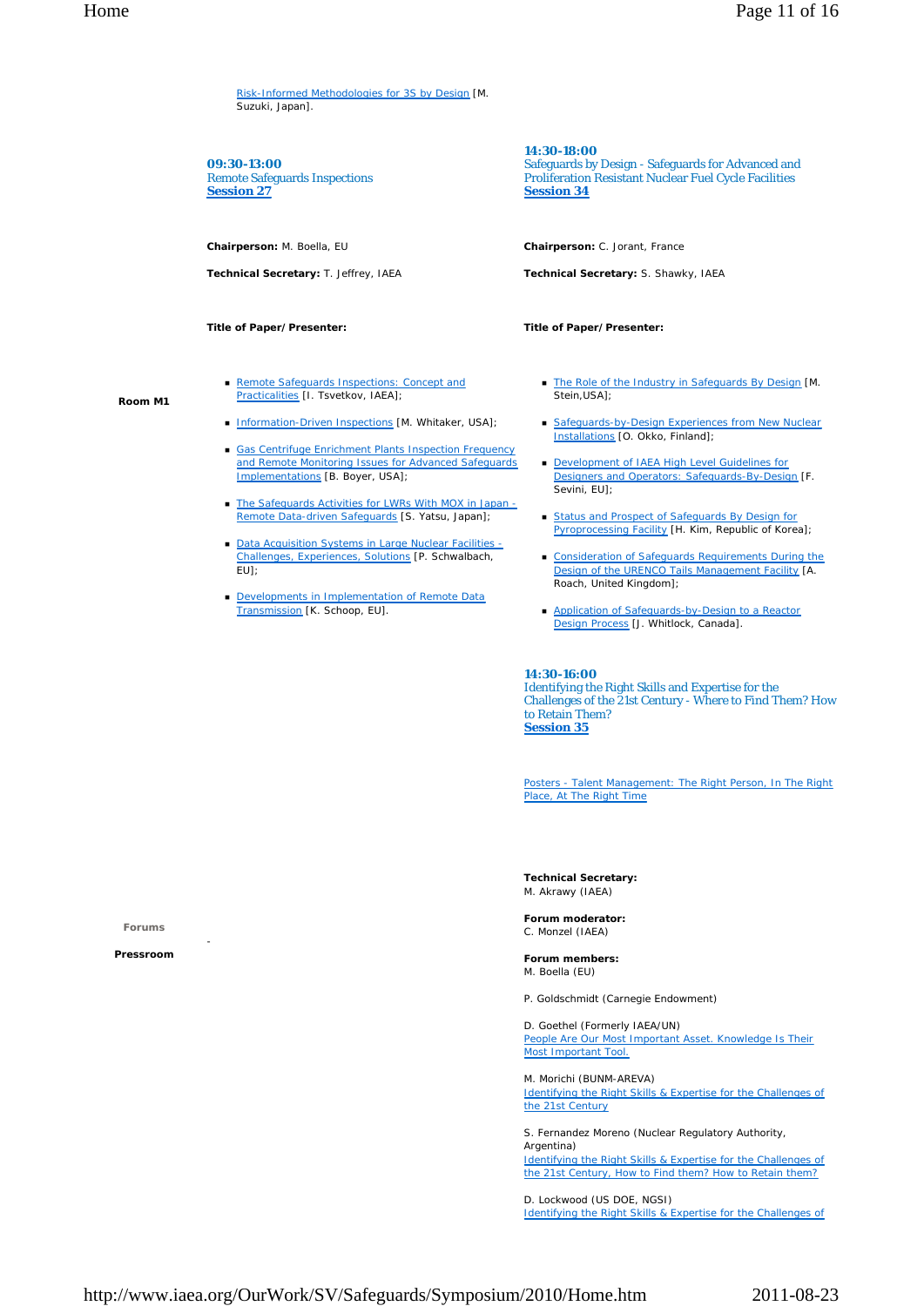Risk-Informed Methodologies for 3S by Design [M. Suzuki, Japan].

**09:30-13:00** Remote Safeguards Inspections **Session 27**

**Chairperson:** M. Boella, EU

**Technical Secretary:** T. Jeffrey, IAEA

**Title of Paper/Presenter:**

**Room M1**

- Remote Safeguards Inspections: Concept and Practicalities [I. Tsvetkov, IAEA];
- Information-Driven Inspections [M. Whitaker, USA];
- Gas Centrifuge Enrichment Plants Inspection Frequency and Remote Monitoring Issues for Advanced Safeguards Implementations [B. Boyer, USA];
- The Safeguards Activities for LWRs With MOX in Japan -Remote Data-driven Safeguards [S. Yatsu, Japan];
- Data Acquisition Systems in Large Nuclear Facilities -Challenges, Experiences, Solutions [P. Schwalbach,  $F$ <sub> $H$ </sub> $\overline{H}$
- Developments in Implementation of Remote Data Transmission [K. Schoop, EU].

**14:30-18:00**

Safeguards by Design - Safeguards for Advanced and Proliferation Resistant Nuclear Fuel Cycle Facilities **Session 34**

**Chairperson:** C. Jorant, France

**Technical Secretary:** S. Shawky, IAEA

**Title of Paper/Presenter:**

- The Role of the Industry in Safeguards By Design [M. Stein, USA];
- Safeguards-by-Design Experiences from New Nuclear Installations [O. Okko, Finland];
- Development of IAEA High Level Guidelines for **Designers and Operators: Safeguards-By-Design [F.** Sevini, EU];
- **Status and Prospect of Safeguards By Design for** Pyroprocessing Facility [H. Kim, Republic of Korea];
- **Consideration of Safeguards Requirements During the** Design of the URENCO Tails Management Facility [A. Roach, United Kingdom];
- Application of Safeguards-by-Design to a Reactor Design Process [J. Whitlock, Canada].

**14:30-16:00**

Identifying the Right Skills and Expertise for the Challenges of the 21st Century - Where to Find Them? How to Retain Them? **Session 35**

Posters - Talent Management: The Right Person, In The Right Place, At The Right Time

**Technical Secretary:** M. Akrawy (IAEA)

**Forum moderator:** C. Monzel (IAEA)

**Forum members:** M. Boella (EU)

P. Goldschmidt (Carnegie Endowment)

D. Goethel (Formerly IAEA/UN) People Are Our Most Important Asset. Knowledge Is Their Most Important Tool.

M. Morichi (BUNM-AREVA) Identifying the Right Skills & Expertise for the Challenges of the 21st Century

S. Fernandez Moreno (Nuclear Regulatory Authority, Argentina) Identifying the Right Skills & Expertise for the Challenges of the 21st Century, How to Find them? How to Retain them?

D. Lockwood (US DOE, NGSI) Identifying the Right Skills & Expertise for the Challenges of

**Forums** 

**Pressroom** 

-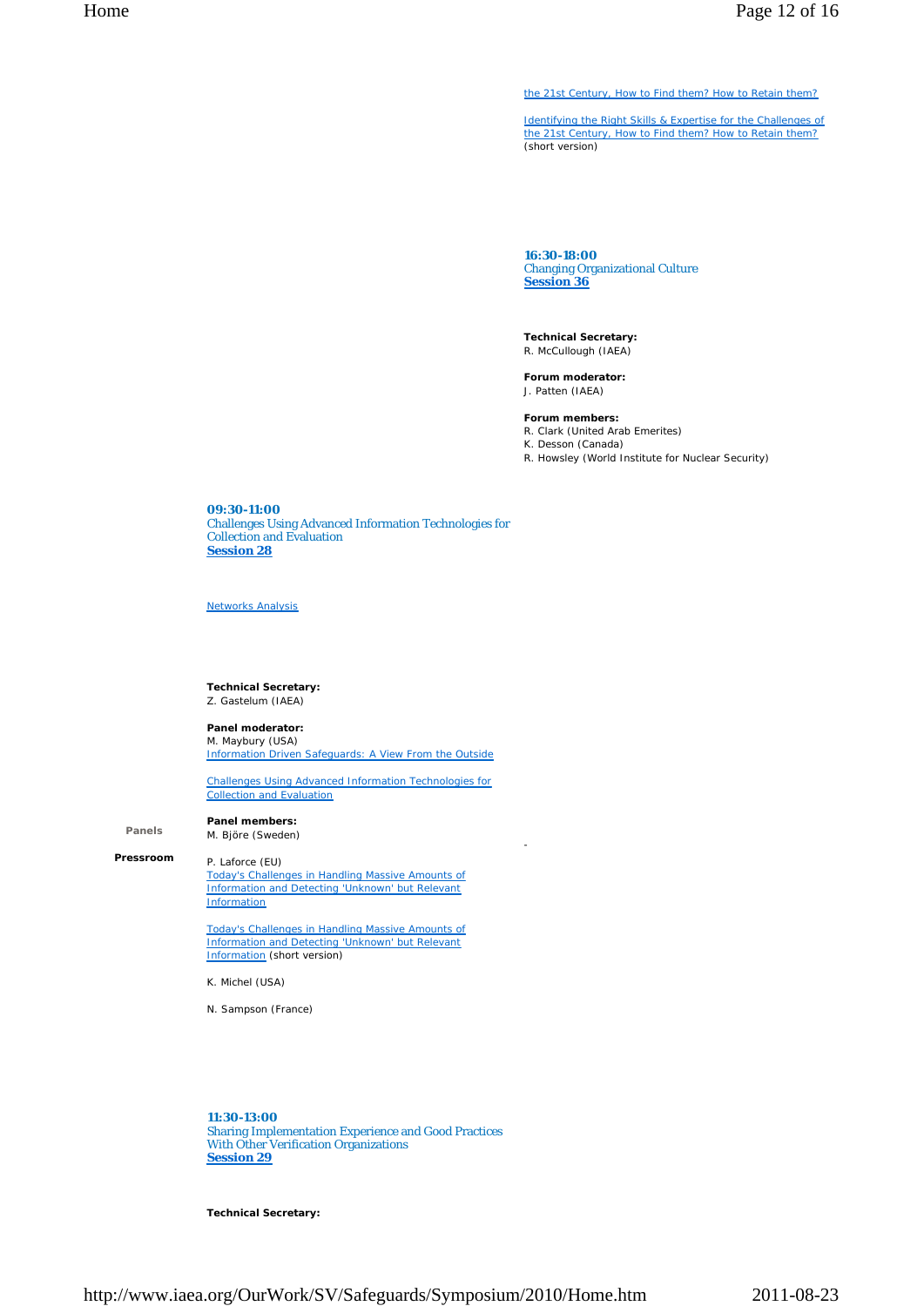the 21st Century, How to Find them? How to Retain them?

Identifying the Right Skills & Expertise for the Challenges of the 21st Century, How to Find them? How to Retain them? (short version)

**16:30-18:00** Changing Organizational Culture **Session 36**

**Technical Secretary:** R. McCullough (IAEA)

**Forum moderator:** J. Patten (IAEA)

### **Forum members:**

R. Clark (United Arab Emerites)

K. Desson (Canada)

-

R. Howsley (World Institute for Nuclear Security)

**09:30-11:00** Challenges Using Advanced Information Technologies for Collection and Evaluation **Session 28**

Networks Analysis

**Technical Secretary:** Z. Gastelum (IAEA)

**Panel moderator:** M. Maybury (USA) Information Driven Safeguards: A View From the Outside

Challenges Using Advanced Information Technologies for

Collection and Evaluation

**Panel members:**

**Panels** 

M. Björe (Sweden)

**Pressroom** 

P. Laforce (EU) Today's Challenges in Handling Massive Amounts of Information and Detecting 'Unknown' but Relevant **Information** 

Today's Challenges in Handling Massive Amounts of Information and Detecting 'Unknown' but Relevant Information (short version)

K. Michel (USA)

N. Sampson (France)

**11:30-13:00** Sharing Implementation Experience and Good Practices With Other Verification Organizations **Session 29**

**Technical Secretary:**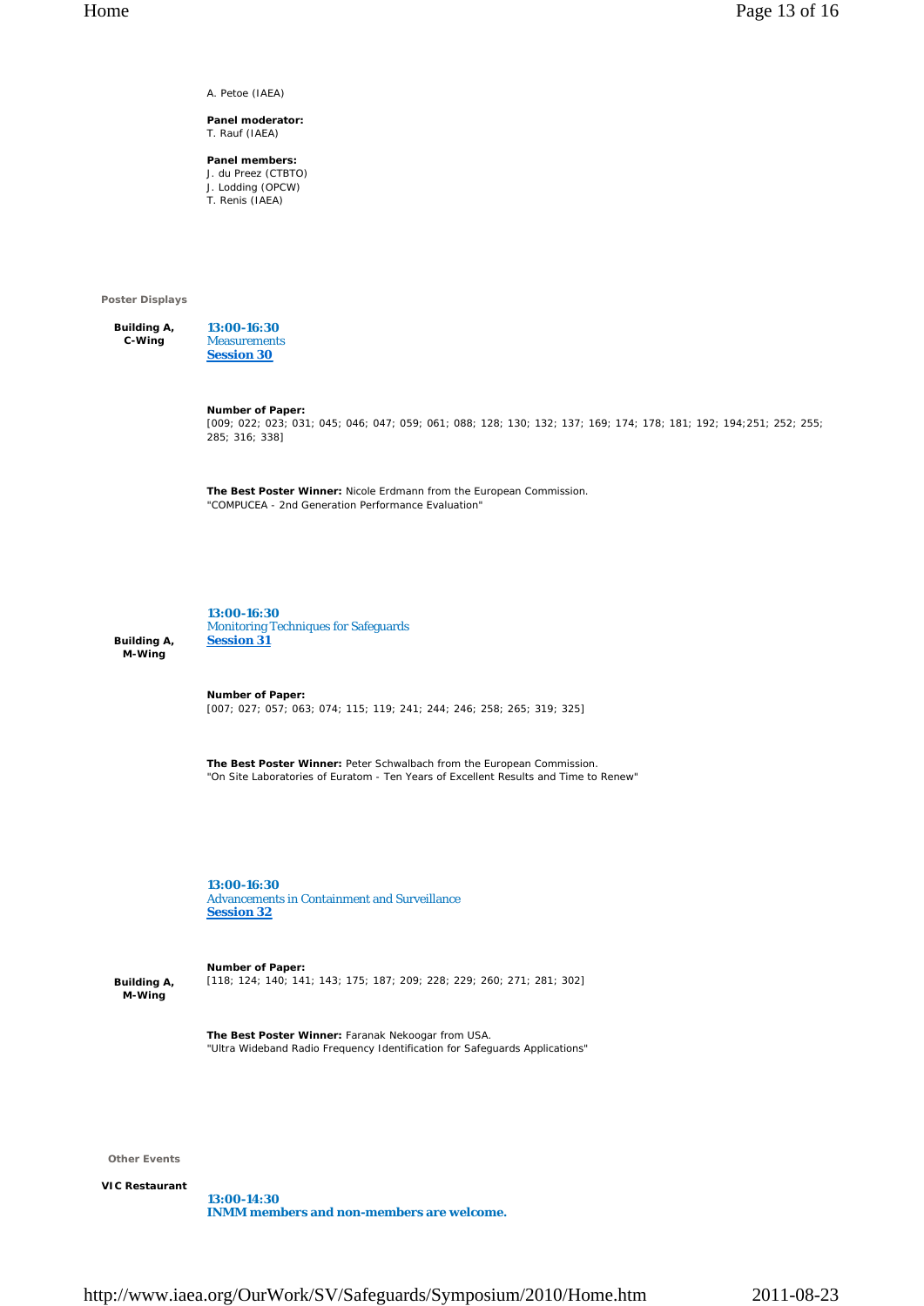A. Petoe (IAEA)

#### **Panel moderator:** T. Rauf (IAEA)

**Panel members:** J. du Preez (CTBTO) J. Lodding (OPCW) T. Renis (IAEA)

**Poster Displays** 

**Building A, C-Wing 13:00-16:30 Measurements Session 30**

**Number of Paper:**

[009; 022; 023; 031; 045; 046; 047; 059; 061; 088; 128; 130; 132; 137; 169; 174; 178; 181; 192; 194;251; 252; 255; 285; 316; 338]

**The Best Poster Winner:** Nicole Erdmann from the European Commission. "COMPUCEA - 2nd Generation Performance Evaluation"

**Building A, M-Wing** 

**13:00-16:30** Monitoring Techniques for Safeguards **Session 31**

**Number of Paper:** [007; 027; 057; 063; 074; 115; 119; 241; 244; 246; 258; 265; 319; 325]

**The Best Poster Winner:** Peter Schwalbach from the European Commission. "On Site Laboratories of Euratom - Ten Years of Excellent Results and Time to Renew"

**13:00-16:30** Advancements in Containment and Surveillance **Session 32**

**Building A, M-Wing** 

**Number of Paper:** [118; 124; 140; 141; 143; 175; 187; 209; 228; 229; 260; 271; 281; 302]

**The Best Poster Winner:** Faranak Nekoogar from USA. "Ultra Wideband Radio Frequency Identification for Safeguards Applications"

**Other Events** 

**VIC Restaurant** 

**13:00-14:30 INMM members and non-members are welcome.**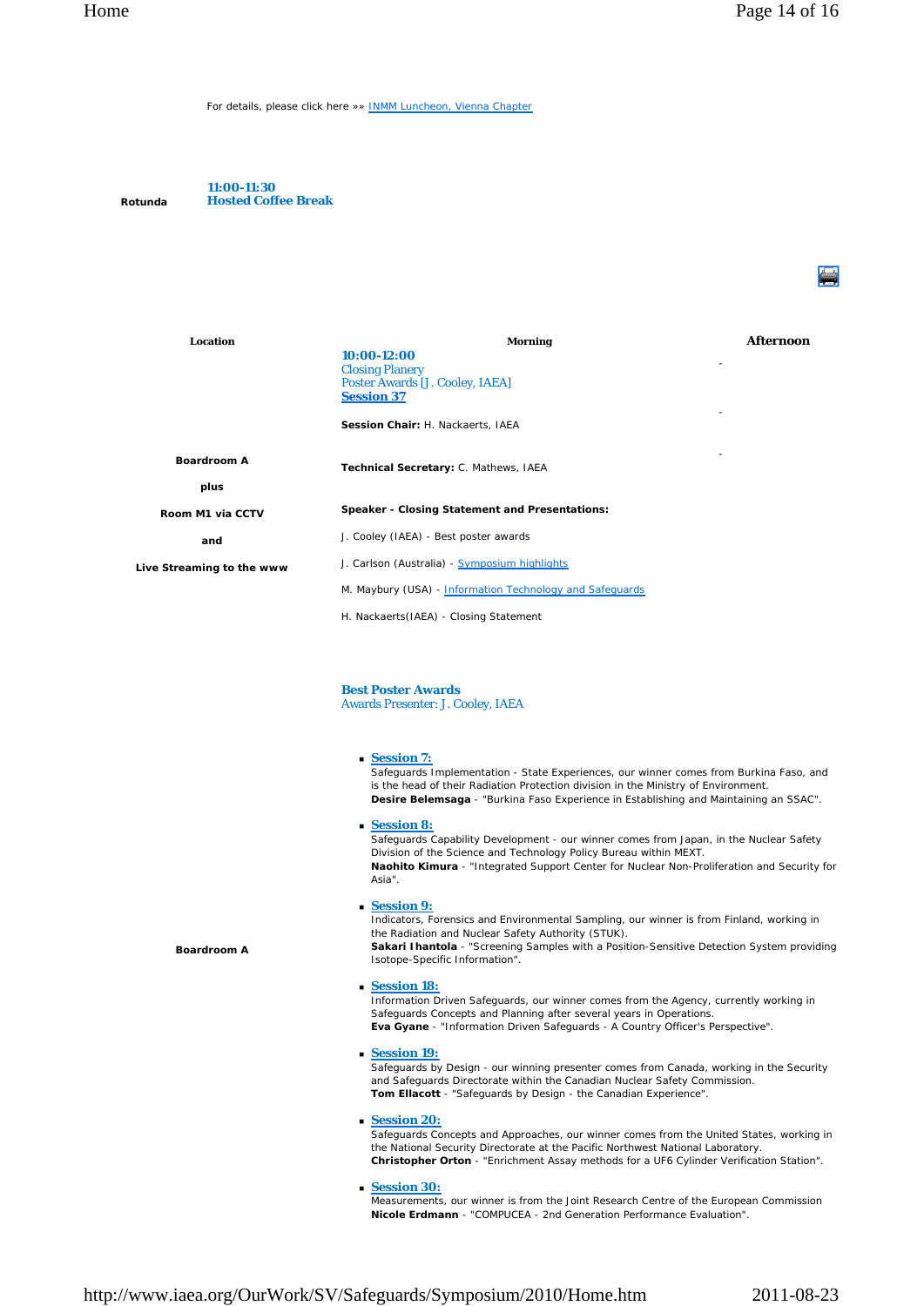For details, please click here »» INMM Luncheon, Vienna Chapter

**Rotunda 11:00-11:30 Hosted Coffee Break**

**Boardroom A**

| Location                  | <b>Morning</b>                                           | Afternoon |
|---------------------------|----------------------------------------------------------|-----------|
|                           | $10:00-12:00$                                            |           |
|                           | <b>Closing Planery</b>                                   |           |
|                           | Poster Awards [J. Cooley, IAEA]                          |           |
|                           | <b>Session 37</b>                                        |           |
|                           | Session Chair: H. Nackaerts, IAEA                        |           |
| <b>Boardroom A</b>        | ٠<br>Technical Secretary: C. Mathews, IAEA               |           |
| plus                      |                                                          |           |
| Room M1 via CCTV          | Speaker - Closing Statement and Presentations:           |           |
| and                       | J. Cooley (IAEA) - Best poster awards                    |           |
| Live Streaming to the www | J. Carlson (Australia) - Symposium highlights            |           |
|                           | M. Maybury (USA) - Information Technology and Safequards |           |
|                           | H. Nackaerts (IAEA) - Closing Statement                  |           |

### **Best Poster Awards**

Awards Presenter: J. Cooley, IAEA

**Session 7:**

Safeguards Implementation - State Experiences, our winner comes from Burkina Faso, and is the head of their Radiation Protection division in the Ministry of Environment. **Desire Belemsaga** - "Burkina Faso Experience in Establishing and Maintaining an SSAC".

**Session 8:**

Safeguards Capability Development - our winner comes from Japan, in the Nuclear Safety Division of the Science and Technology Policy Bureau within MEXT. **Naohito Kimura** - "Integrated Support Center for Nuclear Non-Proliferation and Security for Asia".

### **Session 9:**

Indicators, Forensics and Environmental Sampling, our winner is from Finland, working in the Radiation and Nuclear Safety Authority (STUK).

**Sakari Ihantola** - "Screening Samples with a Position-Sensitive Detection System providing Isotope-Specific Information".

**Session 18:**

Information Driven Safeguards, our winner comes from the Agency, currently working in Safeguards Concepts and Planning after several years in Operations. **Eva Gyane** - "Information Driven Safeguards - A Country Officer's Perspective".

**Session 19:**

Safeguards by Design - our winning presenter comes from Canada, working in the Security and Safeguards Directorate within the Canadian Nuclear Safety Commission. **Tom Ellacott** - "Safeguards by Design - the Canadian Experience".

### **Session 20:**

Safeguards Concepts and Approaches, our winner comes from the United States, working in the National Security Directorate at the Pacific Northwest National Laboratory. **Christopher Orton** - "Enrichment Assay methods for a UF6 Cylinder Verification Station".

**Session 30:**

Measurements, our winner is from the Joint Research Centre of the European Commission **Nicole Erdmann** - "COMPUCEA - 2nd Generation Performance Evaluation".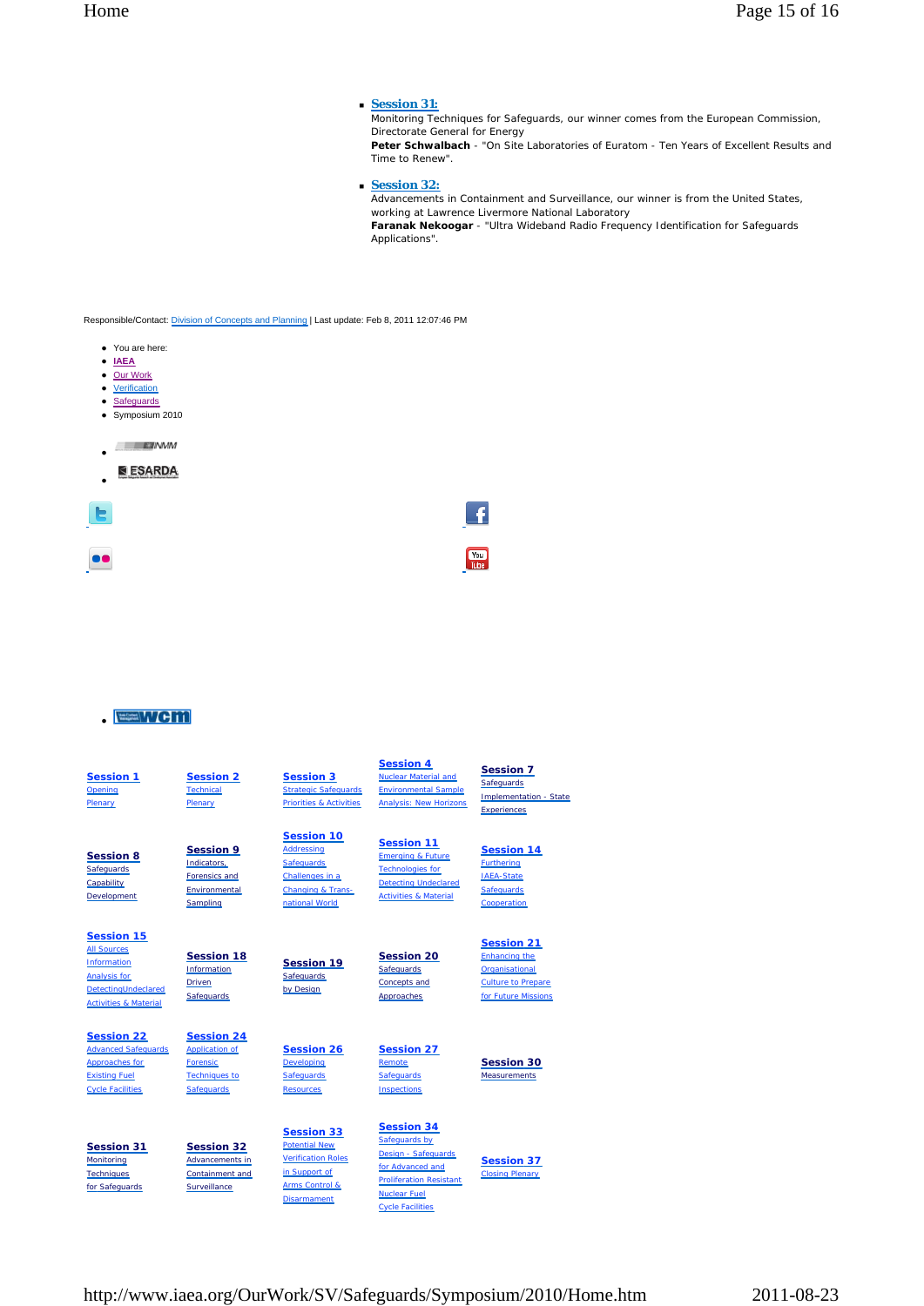### **Session 31:**

Monitoring Techniques for Safeguards, our winner comes from the European Commission, Directorate General for Energy **Peter Schwalbach** - "On Site Laboratories of Euratom - Ten Years of Excellent Results and Time to Renew".

**Session 32:**

Advancements in Containment and Surveillance, our winner is from the United States, working at Lawrence Livermore National Laboratory **Faranak Nekoogar** - "Ultra Wideband Radio Frequency Identification for Safeguards

Applications".

Responsible/Contact: Division of Concepts and Planning | Last update: Feb 8, 2011 12:07:46 PM

- You are here:
- **IAEA**
- Our Work • Verification
- Safeguards
- Symposium 2010

 $EJINMM$ 

**ESARDA**  $\bullet$   $\overline{\phantom{a}}$ 



## **EEWcm**



Disarmament

Nuclear Fuel Cycle Facilities